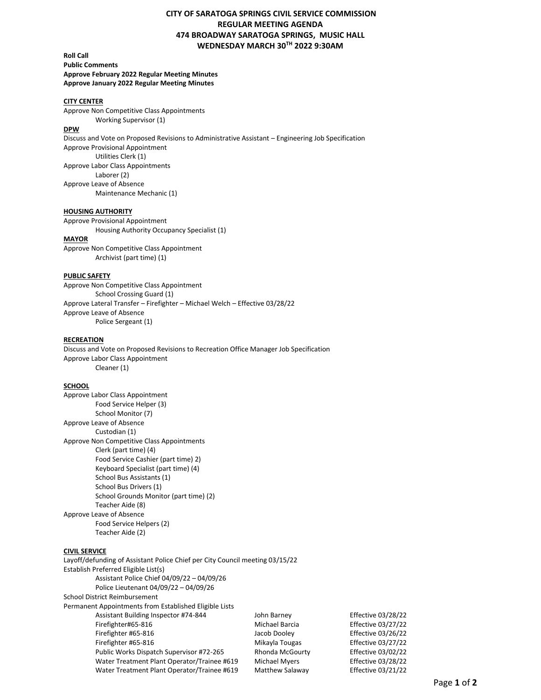# **CITY OF SARATOGA SPRINGS CIVIL SERVICE COMMISSION REGULAR MEETING AGENDA 474 BROADWAY SARATOGA SPRINGS, MUSIC HALL WEDNESDAY MARCH 30TH 2022 9:30AM**

**Roll Call Public Comments Approve February 2022 Regular Meeting Minutes Approve January 2022 Regular Meeting Minutes** 

## **CITY CENTER**

Approve Non Competitive Class Appointments Working Supervisor (1)

#### **DPW**

Discuss and Vote on Proposed Revisions to Administrative Assistant – Engineering Job Specification Approve Provisional Appointment Utilities Clerk (1)

Approve Labor Class Appointments Laborer (2) Approve Leave of Absence Maintenance Mechanic (1)

#### **HOUSING AUTHORITY**

Approve Provisional Appointment

Housing Authority Occupancy Specialist (1)

#### **MAYOR**

Approve Non Competitive Class Appointment Archivist (part time) (1)

#### **PUBLIC SAFETY**

Approve Non Competitive Class Appointment School Crossing Guard (1) Approve Lateral Transfer – Firefighter – Michael Welch – Effective 03/28/22 Approve Leave of Absence Police Sergeant (1)

#### **RECREATION**

Discuss and Vote on Proposed Revisions to Recreation Office Manager Job Specification Approve Labor Class Appointment Cleaner (1)

## **SCHOOL**

| Approve Labor Class Appointment |                                            |  |
|---------------------------------|--------------------------------------------|--|
|                                 | Food Service Helper (3)                    |  |
|                                 | School Monitor (7)                         |  |
| Approve Leave of Absence        |                                            |  |
| Custodian (1)                   |                                            |  |
|                                 | Approve Non Competitive Class Appointments |  |
|                                 | Clerk (part time) (4)                      |  |
|                                 | Food Service Cashier (part time) 2)        |  |
|                                 | Keyboard Specialist (part time) (4)        |  |
|                                 | School Bus Assistants (1)                  |  |
|                                 | School Bus Drivers (1)                     |  |
|                                 | School Grounds Monitor (part time) (2)     |  |
| Teacher Aide (8)                |                                            |  |
| Approve Leave of Absence        |                                            |  |
|                                 | Food Service Helpers (2)                   |  |
| Teacher Aide (2)                |                                            |  |
|                                 |                                            |  |
|                                 |                                            |  |

## **CIVIL SERVICE**

Layoff/defunding of Assistant Police Chief per City Council meeting 03/15/22 Establish Preferred Eligible List(s) Assistant Police Chief 04/09/22 – 04/09/26 Police Lieutenant 04/09/22 – 04/09/26 School District Reimbursement Permanent Appointments from Established Eligible Lists Assistant Building Inspector #74-844 John Barney Effective 03/28/22 Firefighter#65-816 Michael Barcia Effective 03/27/22 Firefighter #65-816 **Set Effective 03/26/22** Jacob Dooley **Effective 03/26/22** Firefighter #65-816 Mikayla Tougas Effective 03/27/22 Public Works Dispatch Supervisor #72-265 Rhonda McGourty Effective 03/02/22 Water Treatment Plant Operator/Trainee #619 Michael Myers Effective 03/28/22 Water Treatment Plant Operator/Trainee #619 Matthew Salaway Effective 03/21/22